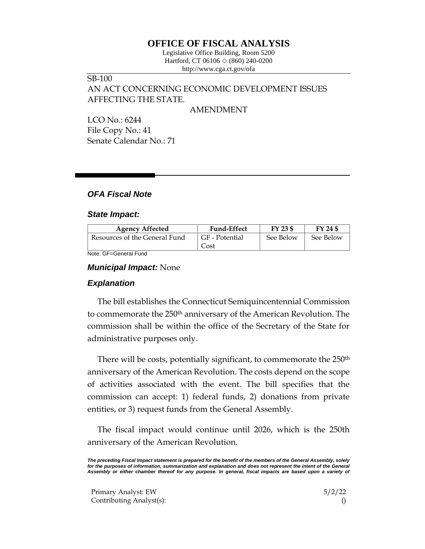# **OFFICE OF FISCAL ANALYSIS**

Legislative Office Building, Room 5200 Hartford, CT 06106  $\Diamond$  (860) 240-0200 http://www.cga.ct.gov/ofa

# SB-100 AN ACT CONCERNING ECONOMIC DEVELOPMENT ISSUES AFFECTING THE STATE.

AMENDMENT

LCO No.: 6244 File Copy No.: 41 Senate Calendar No.: 71

### *OFA Fiscal Note*

#### *State Impact:*

| <b>Agency Affected</b>        | <b>Fund-Effect</b> | FY 23 \$  | FY 24 \$  |
|-------------------------------|--------------------|-----------|-----------|
| Resources of the General Fund | GF - Potential     | See Below | See Below |
|                               | Cost               |           |           |

Note: GF=General Fund

#### *Municipal Impact:* None

### *Explanation*

The bill establishes the Connecticut Semiquincentennial Commission to commemorate the 250<sup>th</sup> anniversary of the American Revolution. The commission shall be within the office of the Secretary of the State for administrative purposes only.

There will be costs, potentially significant, to commemorate the 250<sup>th</sup> anniversary of the American Revolution. The costs depend on the scope of activities associated with the event. The bill specifies that the commission can accept: 1) federal funds, 2) donations from private entities, or 3) request funds from the General Assembly.

The fiscal impact would continue until 2026, which is the 250th anniversary of the American Revolution.

*The preceding Fiscal Impact statement is prepared for the benefit of the members of the General Assembly, solely*  for the purposes of information, summarization and explanation and does not represent the intent of the General *Assembly or either chamber thereof for any purpose. In general, fiscal impacts are based upon a variety of* 

Primary Analyst: EW 5/2/22 Contributing Analyst(s): ()